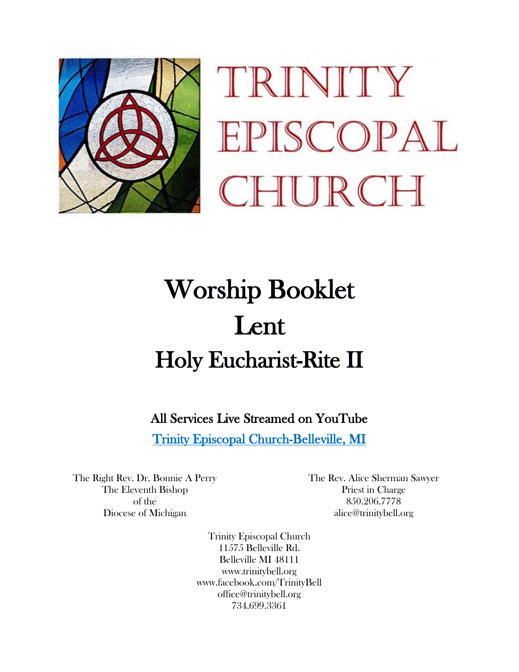

TRINITY EPISCOPAL CHURCH

# Worship Booklet Lent Holy Eucharist-Rite II

All Services Live Streamed on YouTube

Trinity Episcopal Church-Belleville, MI

The Right Rev. Dr. Bonnie A Perry The Eleventh Bishop of the Diocese of Michigan

The Rev. Alice Sherman Sawyer Priest in Charge 850.206.7778 alice@trinitybell.org

Trinity Episcopal Church 11575 Belleville Rd. Belleville MI 48111 [www.trinitybell.org](http://www.trinitybell.org/) www.facebook.com/TrinityBell [office@trinitybell.org](mailto:office@trinitybell.org) 734.699.3361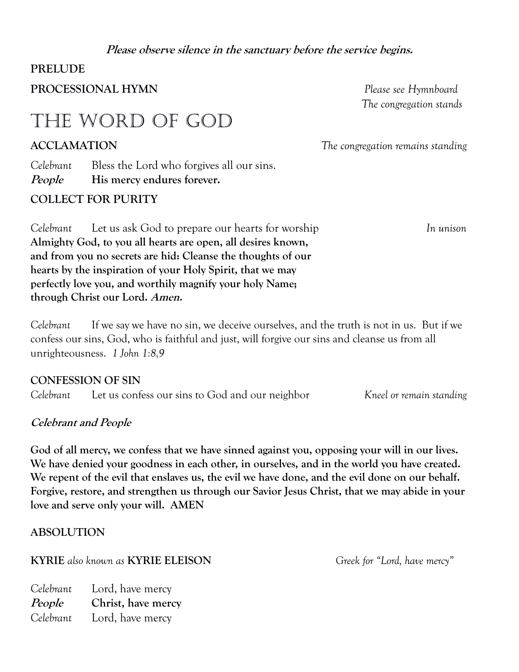**Please observe silence in the sanctuary before the service begins.**

#### **PRELUDE**

**PROCESSIONAL HYMN** *Please see Hymnboard*

## THE WORD of god

 *The congregation stands* 

**ACCLAMATION** *The congregation remains standing* 

*Celebrant* Bless the Lord who forgives all our sins.

**People His mercy endures forever.**

#### **COLLECT FOR PURITY**

*Celebrant* Let us ask God to prepare our hearts for worship *In unison* **Almighty God, to you all hearts are open, all desires known, and from you no secrets are hid: Cleanse the thoughts of our hearts by the inspiration of your Holy Spirit, that we may perfectly love you, and worthily magnify your holy Name; through Christ our Lord. Amen.**

*Celebrant* If we say we have no sin, we deceive ourselves, and the truth is not in us. But if we confess our sins, God, who is faithful and just, will forgive our sins and cleanse us from all unrighteousness. *1 John 1:8,9*

#### **CONFESSION OF SIN**

*Celebrant* Let us confess our sins to God and our neighbor *Kneel or remain standing*

#### **Celebrant and People**

**God of all mercy, we confess that we have sinned against you, opposing your will in our lives. We have denied your goodness in each other, in ourselves, and in the world you have created. We repent of the evil that enslaves us, the evil we have done, and the evil done on our behalf. Forgive, restore, and strengthen us through our Savior Jesus Christ, that we may abide in your love and serve only your will. AMEN**

#### **ABSOLUTION**

**KYRIE** *also known as* **KYRIE ELEISON** *Greek for "Lord, have mercy"*

*Celebrant* Lord, have mercy **People Christ, have mercy** *Celebrant* Lord, have mercy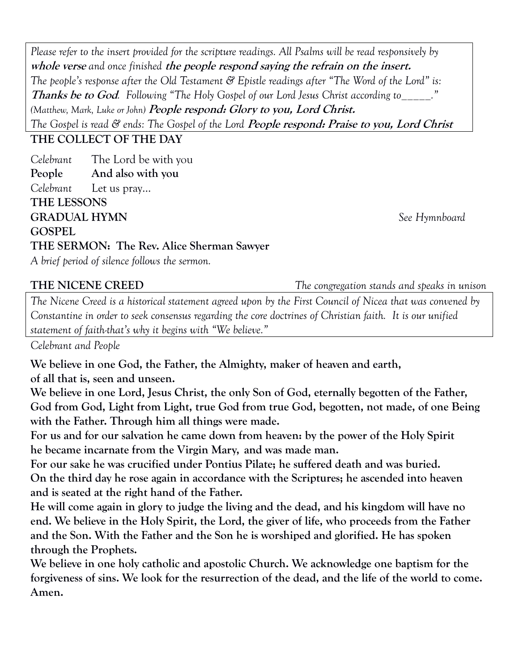*Please refer to the insert provided for the scripture readings. All Psalms will be read responsively by*  **whole verse** *and once finished* **the people respond saying the refrain on the insert.** *The people's response after the Old Testament & Epistle readings after "The Word of the Lord" is:*  **Thanks be to God***. Following "The Holy Gospel of our Lord Jesus Christ according to\_\_\_\_\_." (Matthew, Mark, Luke or John)* **People respond: Glory to you, Lord Christ.** *The Gospel is read & ends: The Gospel of the Lord* **People respond: Praise to you, Lord Christ**

### **THE COLLECT OF THE DAY**

*Celebrant* The Lord be with you **People And also with you** *Celebrant* Let us pray… **THE LESSONS GRADUAL HYMN** *See Hymnboard* **GOSPEL THE SERMON: The Rev. Alice Sherman Sawyer**  *A brief period of silence follows the sermon.*

**THE NICENE CREED** *The congregation stands and speaks in unison*

*The Nicene Creed is a historical statement agreed upon by the First Council of Nicea that was convened by Constantine in order to seek consensus regarding the core doctrines of Christian faith. It is our unified statement of faith-that's why it begins with "We believe."*

*Celebrant and People*

**We believe in one God, the Father, the Almighty, maker of heaven and earth,**

**of all that is, seen and unseen.**

**We believe in one Lord, Jesus Christ, the only Son of God, eternally begotten of the Father, God from God, Light from Light, true God from true God, begotten, not made, of one Being with the Father. Through him all things were made.**

**For us and for our salvation he came down from heaven: by the power of the Holy Spirit he became incarnate from the Virgin Mary, and was made man.**

**For our sake he was crucified under Pontius Pilate; he suffered death and was buried. On the third day he rose again in accordance with the Scriptures; he ascended into heaven and is seated at the right hand of the Father.**

**He will come again in glory to judge the living and the dead, and his kingdom will have no end. We believe in the Holy Spirit, the Lord, the giver of life, who proceeds from the Father and the Son. With the Father and the Son he is worshiped and glorified. He has spoken through the Prophets.**

**We believe in one holy catholic and apostolic Church. We acknowledge one baptism for the forgiveness of sins. We look for the resurrection of the dead, and the life of the world to come. Amen.**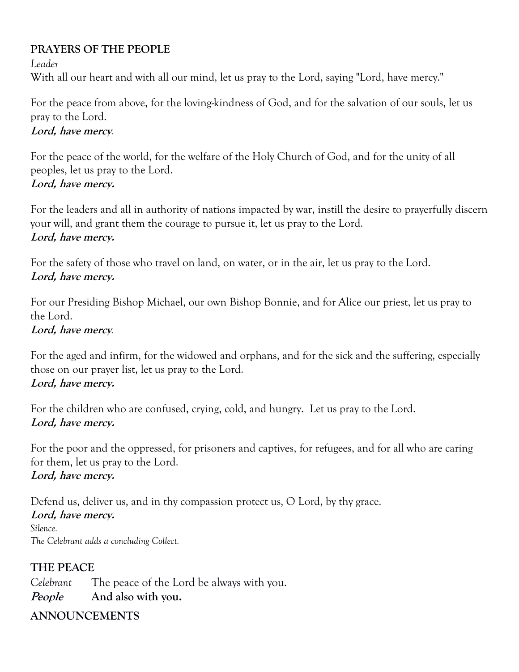#### **PRAYERS OF THE PEOPLE**

*Leader*

With all our heart and with all our mind, let us pray to the Lord, saying "Lord, have mercy."

For the peace from above, for the loving-kindness of God, and for the salvation of our souls, let us pray to the Lord.

#### **Lord, have mercy***.*

For the peace of the world, for the welfare of the Holy Church of God, and for the unity of all peoples, let us pray to the Lord. **Lord, have mercy.**

For the leaders and all in authority of nations impacted by war, instill the desire to prayerfully discern your will, and grant them the courage to pursue it, let us pray to the Lord. **Lord, have mercy.**

For the safety of those who travel on land, on water, or in the air, let us pray to the Lord. **Lord, have mercy.**

For our Presiding Bishop Michael, our own Bishop Bonnie, and for Alice our priest, let us pray to the Lord.

#### **Lord, have mercy***.*

For the aged and infirm, for the widowed and orphans, and for the sick and the suffering, especially those on our prayer list, let us pray to the Lord.

#### **Lord, have mercy.**

For the children who are confused, crying, cold, and hungry. Let us pray to the Lord. **Lord, have mercy.**

For the poor and the oppressed, for prisoners and captives, for refugees, and for all who are caring for them, let us pray to the Lord. **Lord, have mercy.**

Defend us, deliver us, and in thy compassion protect us, O Lord, by thy grace. **Lord, have mercy.** *Silence. The Celebrant adds a concluding Collect.*

#### **THE PEACE**

*Celebrant* The peace of the Lord be always with you. **People And also with you.**

**ANNOUNCEMENTS**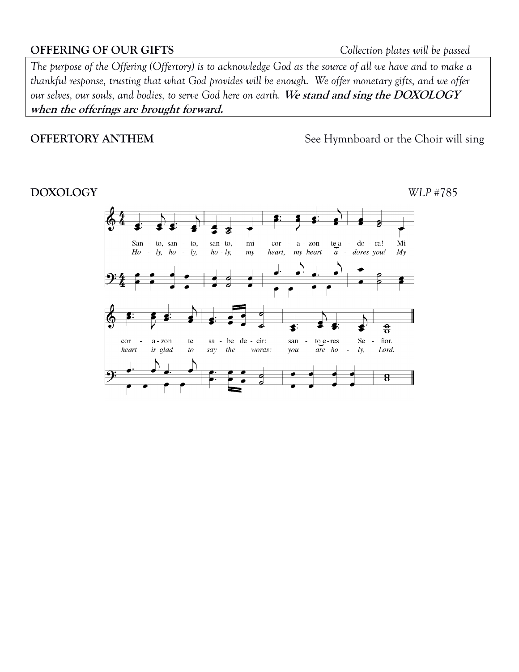#### **OFFERING OF OUR GIFTS** *Collection plates will be passed*

*The purpose of the Offering (Offertory) is to acknowledge God as the source of all we have and to make a thankful response, trusting that what God provides will be enough. We offer monetary gifts, and we offer our selves, our souls, and bodies, to serve God here on earth.* **We stand and sing the DOXOLOGY when the offerings are brought forward.**

**OFFERTORY ANTHEM** See Hymnboard or the Choir will sing

#### **DOXOLOGY** *WLP* #785

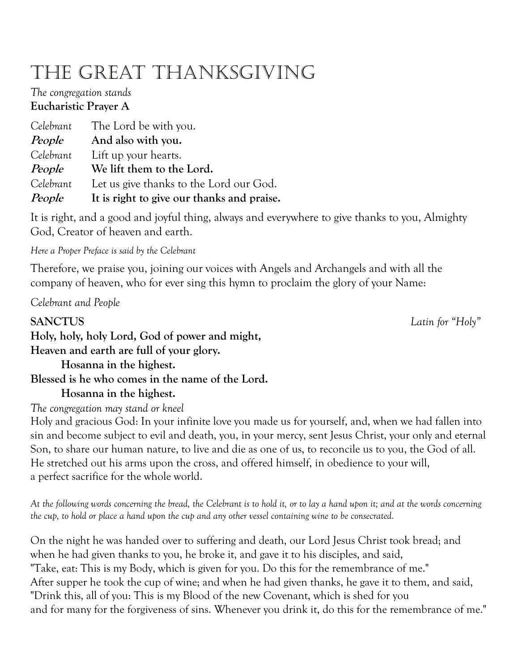# THE GREAT THANKSGIVING

*The congregation stands* **Eucharistic Prayer A**

| Celebrant | The Lord be with you.                      |
|-----------|--------------------------------------------|
| People    | And also with you.                         |
| Celebrant | Lift up your hearts.                       |
| People    | We lift them to the Lord.                  |
| Celebrant | Let us give thanks to the Lord our God.    |
| People    | It is right to give our thanks and praise. |

It is right, and a good and joyful thing, always and everywhere to give thanks to you, Almighty God, Creator of heaven and earth.

*Here a Proper Preface is said by the Celebrant*

Therefore, we praise you, joining our voices with Angels and Archangels and with all the company of heaven, who for ever sing this hymn to proclaim the glory of your Name:

*Celebrant and People*

**SANCTUS** *Latin for "Holy"* **Holy, holy, holy Lord, God of power and might, Heaven and earth are full of your glory. Hosanna in the highest. Blessed is he who comes in the name of the Lord. Hosanna in the highest.** 

*The congregation may stand or kneel*

Holy and gracious God: In your infinite love you made us for yourself, and, when we had fallen into sin and become subject to evil and death, you, in your mercy, sent Jesus Christ, your only and eternal Son, to share our human nature, to live and die as one of us, to reconcile us to you, the God of all. He stretched out his arms upon the cross, and offered himself, in obedience to your will, a perfect sacrifice for the whole world.

*At the following words concerning the bread, the Celebrant is to hold it, or to lay a hand upon it; and at the words concerning the cup, to hold or place a hand upon the cup and any other vessel containing wine to be consecrated.*

On the night he was handed over to suffering and death, our Lord Jesus Christ took bread; and when he had given thanks to you, he broke it, and gave it to his disciples, and said, "Take, eat: This is my Body, which is given for you. Do this for the remembrance of me." After supper he took the cup of wine; and when he had given thanks, he gave it to them, and said, "Drink this, all of you: This is my Blood of the new Covenant, which is shed for you and for many for the forgiveness of sins. Whenever you drink it, do this for the remembrance of me."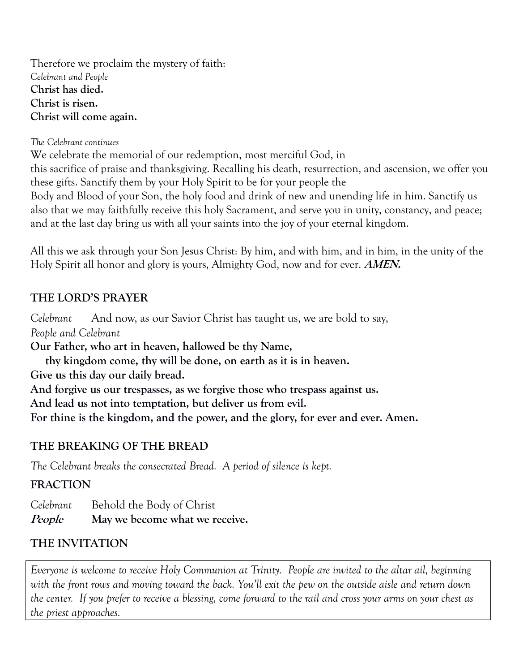Therefore we proclaim the mystery of faith: *Celebrant and People* **Christ has died. Christ is risen. Christ will come again.**

*The Celebrant continues*

We celebrate the memorial of our redemption, most merciful God, in this sacrifice of praise and thanksgiving. Recalling his death, resurrection, and ascension, we offer you these gifts. Sanctify them by your Holy Spirit to be for your people the Body and Blood of your Son, the holy food and drink of new and unending life in him. Sanctify us also that we may faithfully receive this holy Sacrament, and serve you in unity, constancy, and peace; and at the last day bring us with all your saints into the joy of your eternal kingdom.

All this we ask through your Son Jesus Christ: By him, and with him, and in him, in the unity of the Holy Spirit all honor and glory is yours, Almighty God, now and for ever. **AMEN.**

#### **THE LORD'S PRAYER**

*Celebrant* And now, as our Savior Christ has taught us, we are bold to say, *People and Celebrant* **Our Father, who art in heaven, hallowed be thy Name, thy kingdom come, thy will be done, on earth as it is in heaven. Give us this day our daily bread. And forgive us our trespasses, as we forgive those who trespass against us. And lead us not into temptation, but deliver us from evil. For thine is the kingdom, and the power, and the glory, for ever and ever. Amen.** 

#### **THE BREAKING OF THE BREAD**

*The Celebrant breaks the consecrated Bread. A period of silence is kept.*

#### **FRACTION**

- *Celebrant* Behold the Body of Christ
- **People May we become what we receive.**

### **THE INVITATION**

*Everyone is welcome to receive Holy Communion at Trinity. People are invited to the altar ail, beginning with the front rows and moving toward the back. You'll exit the pew on the outside aisle and return down the center. If you prefer to receive a blessing, come forward to the rail and cross your arms on your chest as the priest approaches.*